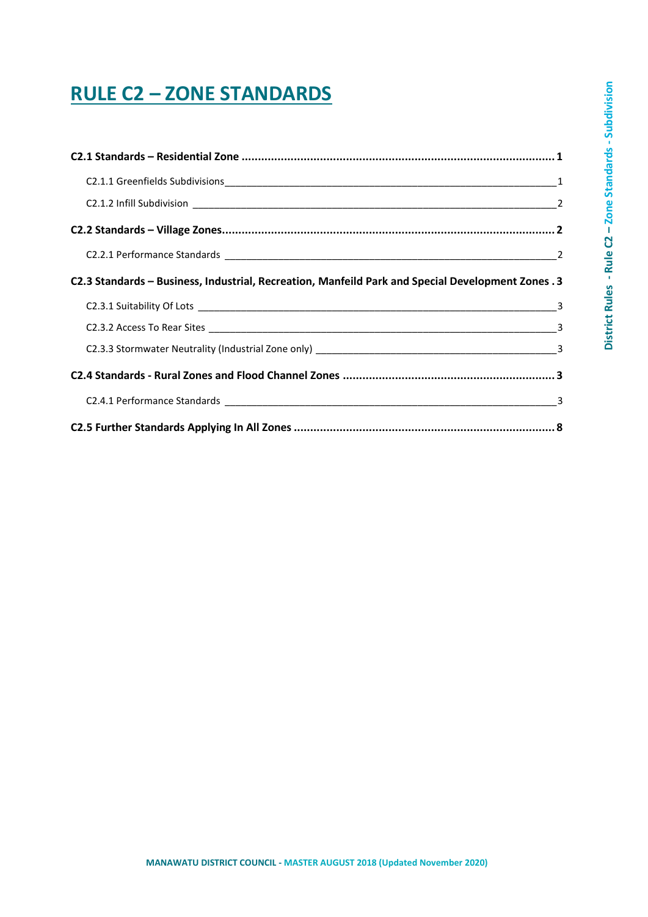# **RULE C2 – ZONE STANDARDS**

| C2.3 Standards - Business, Industrial, Recreation, Manfeild Park and Special Development Zones. 3 |  |
|---------------------------------------------------------------------------------------------------|--|
|                                                                                                   |  |
|                                                                                                   |  |
|                                                                                                   |  |
|                                                                                                   |  |
|                                                                                                   |  |
|                                                                                                   |  |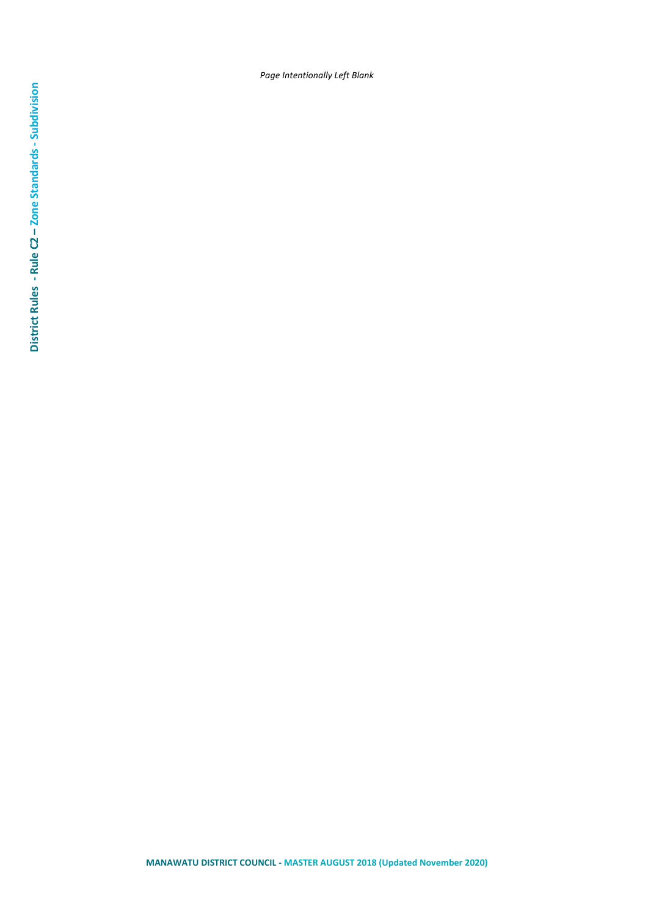*Page Intentionally Left Blank*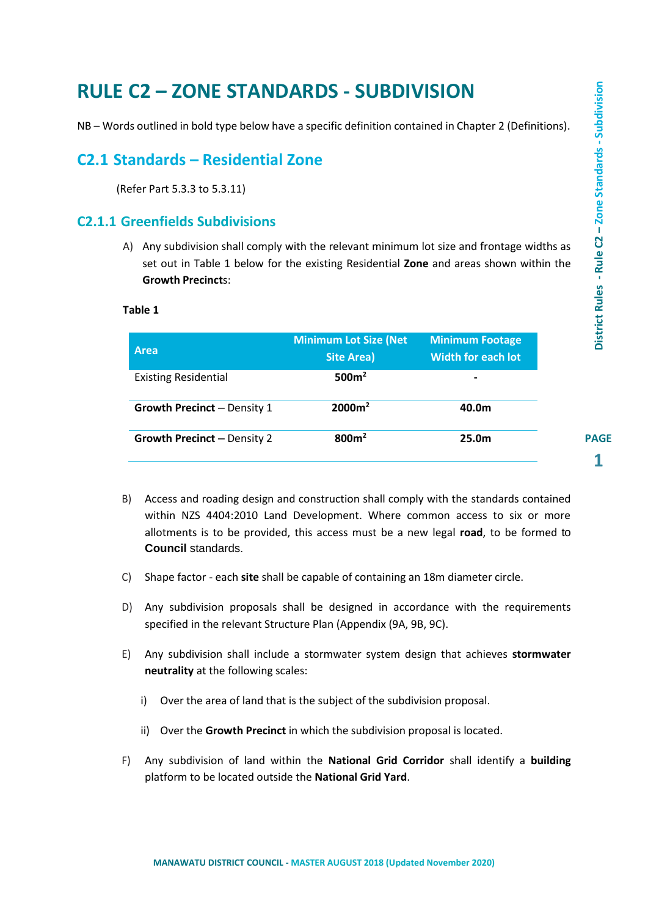# **RULE C2 – ZONE STANDARDS - SUBDIVISION**

NB – Words outlined in bold type below have a specific definition contained in Chapter 2 (Definitions).

# <span id="page-2-0"></span>**C2.1 Standards – Residential Zone**

(Refer Part 5.3.3 to 5.3.11)

### <span id="page-2-1"></span>**C2.1.1 Greenfields Subdivisions**

A) Any subdivision shall comply with the relevant minimum lot size and frontage widths as set out in Table 1 below for the existing Residential **Zone** and areas shown within the **Growth Precinct**s:

#### **Table 1**

| Area                               | <b>Minimum Lot Size (Net</b><br><b>Site Area)</b> | <b>Minimum Footage</b><br><b>Width for each lot</b> | Dist        |
|------------------------------------|---------------------------------------------------|-----------------------------------------------------|-------------|
| <b>Existing Residential</b>        | 500m <sup>2</sup>                                 |                                                     |             |
| <b>Growth Precinct - Density 1</b> | 2000m <sup>2</sup>                                | 40.0m                                               |             |
| <b>Growth Precinct - Density 2</b> | 800m <sup>2</sup>                                 | 25.0m                                               | <b>PAGE</b> |

- B) Access and roading design and construction shall comply with the standards contained within NZS 4404:2010 Land Development. Where common access to six or more allotments is to be provided, this access must be a new legal **road**, to be formed to **Council** standards.
- C) Shape factor each **site** shall be capable of containing an 18m diameter circle.
- D) Any subdivision proposals shall be designed in accordance with the requirements specified in the relevant Structure Plan (Appendix (9A, 9B, 9C).
- E) Any subdivision shall include a stormwater system design that achieves **stormwater neutrality** at the following scales:
	- i) Over the area of land that is the subject of the subdivision proposal.
	- ii) Over the **Growth Precinct** in which the subdivision proposal is located.
- F) Any subdivision of land within the **National Grid Corridor** shall identify a **building** platform to be located outside the **National Grid Yard**.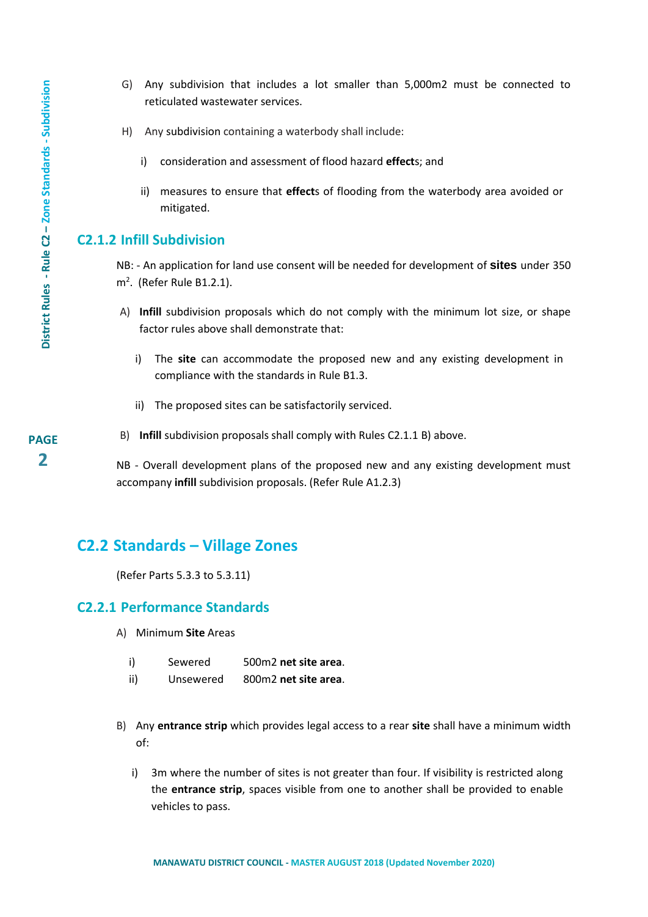- G) Any subdivision that includes a lot smaller than 5,000m2 must be connected to reticulated wastewater services.
- H) Any subdivision containing a waterbody shall include:
	- i) consideration and assessment of flood hazard **effect**s; and
	- ii) measures to ensure that **effect**s of flooding from the waterbody area avoided or mitigated.

### <span id="page-3-0"></span>**C2.1.2 Infill Subdivision**

NB: - An application for land use consent will be needed for development of **sites** under 350 m<sup>2</sup> . (Refer Rule B1.2.1).

- A) **Infill** subdivision proposals which do not comply with the minimum lot size, or shape factor rules above shall demonstrate that:
	- i) The **site** can accommodate the proposed new and any existing development in compliance with the standards in Rule B1.3.
	- ii) The proposed sites can be satisfactorily serviced.
- B) **Infill** subdivision proposals shall comply with Rules C2.1.1 B) above.

NB - Overall development plans of the proposed new and any existing development must accompany **infill** subdivision proposals. (Refer Rule A1.2.3)

# <span id="page-3-1"></span>**C2.2 Standards – Village Zones**

(Refer Parts 5.3.3 to 5.3.11)

### <span id="page-3-2"></span>**C2.2.1 Performance Standards**

- A) Minimum **Site** Areas
	- i) Sewered 500m2 **net site area**.
	- ii) Unsewered 800m2 **net site area**.
- B) Any **entrance strip** which provides legal access to a rear **site** shall have a minimum width of:
	- i) 3m where the number of sites is not greater than four. If visibility is restricted along the **entrance strip**, spaces visible from one to another shall be provided to enable vehicles to pass.

**PAGE**  $\overline{\mathbf{2}}$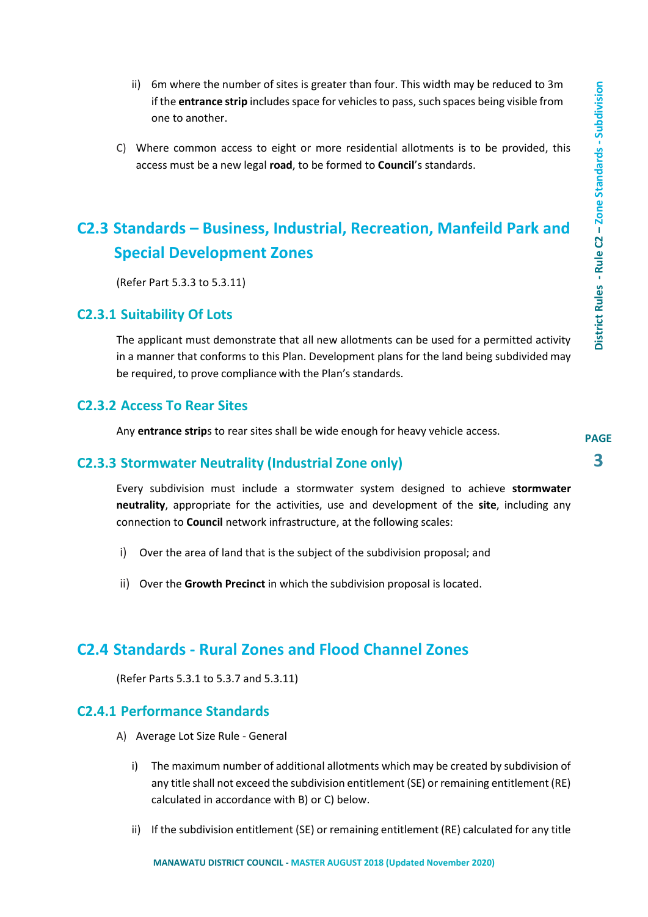- ii) 6m where the number of sites is greater than four. This width may be reduced to 3m if the **entrance strip** includes space for vehicles to pass, such spaces being visible from one to another.
- C) Where common access to eight or more residential allotments is to be provided, this access must be a new legal **road**, to be formed to **Council**'s standards.

# <span id="page-4-0"></span>**C2.3 Standards – Business, Industrial, Recreation, Manfeild Park and Special Development Zones**

(Refer Part 5.3.3 to 5.3.11)

#### <span id="page-4-1"></span>**C2.3.1 Suitability Of Lots**

The applicant must demonstrate that all new allotments can be used for a permitted activity in a manner that conforms to this Plan. Development plans for the land being subdivided may be required, to prove compliance with the Plan's standards.

#### <span id="page-4-2"></span>**C2.3.2 Access To Rear Sites**

Any **entrance strip**s to rear sites shall be wide enough for heavy vehicle access.

### <span id="page-4-3"></span>**C2.3.3 Stormwater Neutrality (Industrial Zone only)**

Every subdivision must include a stormwater system designed to achieve **stormwater neutrality**, appropriate for the activities, use and development of the **site**, including any connection to **Council** network infrastructure, at the following scales:

- i) Over the area of land that is the subject of the subdivision proposal; and
- ii) Over the **Growth Precinct** in which the subdivision proposal is located.

## <span id="page-4-4"></span>**C2.4 Standards - Rural Zones and Flood Channel Zones**

(Refer Parts 5.3.1 to 5.3.7 and 5.3.11)

## <span id="page-4-5"></span>**C2.4.1 Performance Standards**

- A) Average Lot Size Rule General
	- i) The maximum number of additional allotments which may be created by subdivision of any title shall not exceed the subdivision entitlement (SE) or remaining entitlement (RE) calculated in accordance with B) or C) below.
	- ii) If the subdivision entitlement (SE) or remaining entitlement (RE) calculated for any title

**PAGE 3**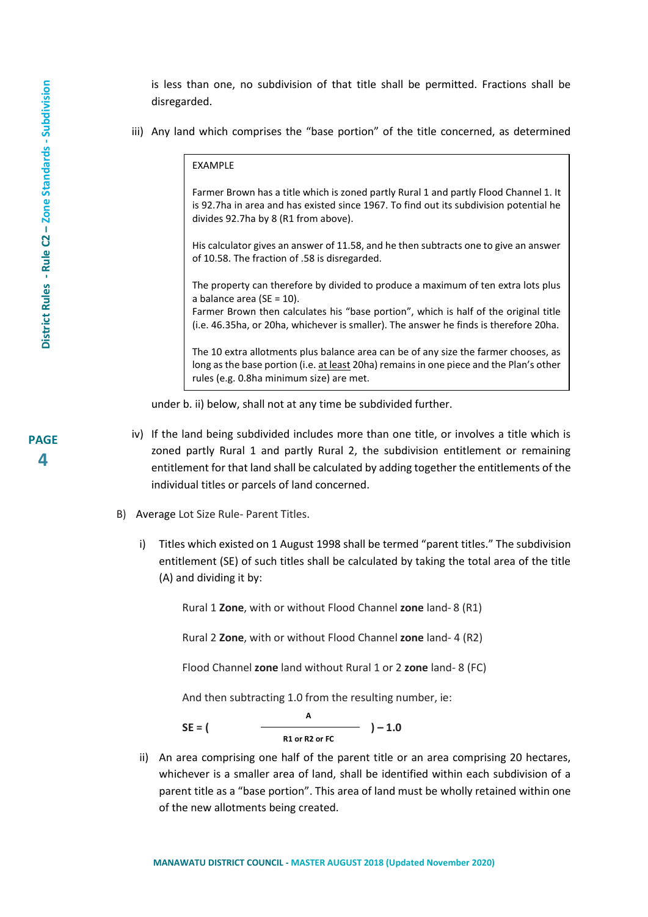is less than one, no subdivision of that title shall be permitted. Fractions shall be disregarded.

iii) Any land which comprises the "base portion" of the title concerned, as determined

#### EXAMPLE

Farmer Brown has a title which is zoned partly Rural 1 and partly Flood Channel 1. It is 92.7ha in area and has existed since 1967. To find out its subdivision potential he divides 92.7ha by 8 (R1 from above).

His calculator gives an answer of 11.58, and he then subtracts one to give an answer of 10.58. The fraction of .58 is disregarded.

The property can therefore by divided to produce a maximum of ten extra lots plus a balance area (SE = 10).

Farmer Brown then calculates his "base portion", which is half of the original title (i.e. 46.35ha, or 20ha, whichever is smaller). The answer he finds is therefore 20ha.

The 10 extra allotments plus balance area can be of any size the farmer chooses, as long as the base portion (i.e. at least 20ha) remains in one piece and the Plan's other rules (e.g. 0.8ha minimum size) are met.

under b. ii) below, shall not at any time be subdivided further.

- iv) If the land being subdivided includes more than one title, or involves a title which is zoned partly Rural 1 and partly Rural 2, the subdivision entitlement or remaining entitlement for that land shall be calculated by adding together the entitlements of the individual titles or parcels of land concerned.
- B) Average Lot Size Rule- Parent Titles.
	- i) Titles which existed on 1 August 1998 shall be termed "parent titles." The subdivision entitlement (SE) of such titles shall be calculated by taking the total area of the title (A) and dividing it by:

Rural 1 **Zone**, with or without Flood Channel **zone** land- 8 (R1)

Rural 2 **Zone**, with or without Flood Channel **zone** land- 4 (R2)

Flood Channel **zone** land without Rural 1 or 2 **zone** land- 8 (FC)

And then subtracting 1.0 from the resulting number, ie:

 $SE = ($   $) - 1.0$ **A R1 or R2 or FC**

ii) An area comprising one half of the parent title or an area comprising 20 hectares, whichever is a smaller area of land, shall be identified within each subdivision of a parent title as a "base portion". This area of land must be wholly retained within one of the new allotments being created.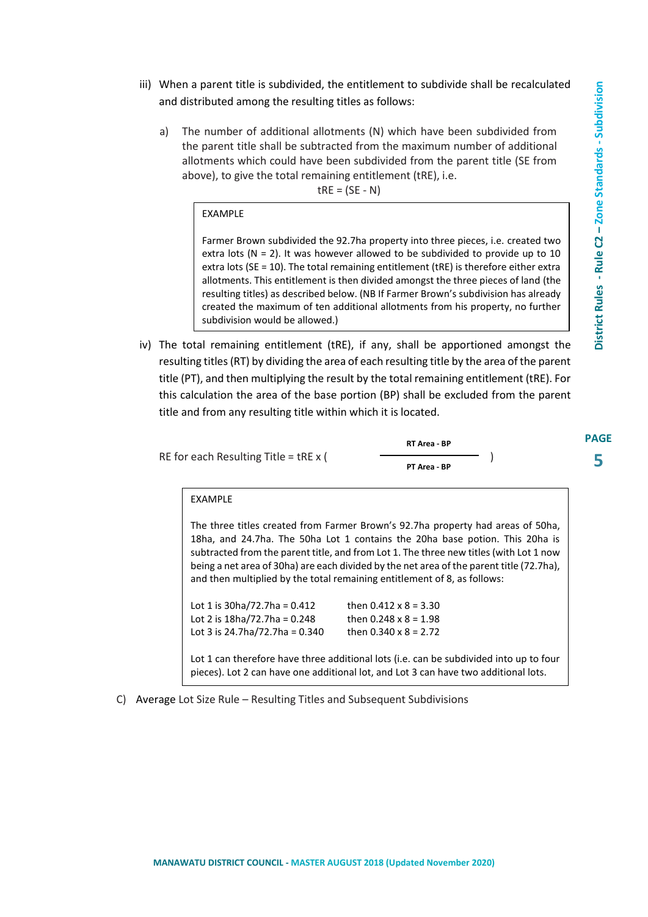- iii) When a parent title is subdivided, the entitlement to subdivide shall be recalculated and distributed among the resulting titles as follows:
	- a) The number of additional allotments (N) which have been subdivided from the parent title shall be subtracted from the maximum number of additional allotments which could have been subdivided from the parent title (SE from above), to give the total remaining entitlement (tRE), i.e.

 $tRE = (SE - N)$ 

EXAMPLE

Farmer Brown subdivided the 92.7ha property into three pieces, i.e. created two extra lots ( $N = 2$ ). It was however allowed to be subdivided to provide up to 10 extra lots (SE = 10). The total remaining entitlement (tRE) is therefore either extra allotments. This entitlement is then divided amongst the three pieces of land (the resulting titles) as described below. (NB If Farmer Brown's subdivision has already created the maximum of ten additional allotments from his property, no further subdivision would be allowed.)

iv) The total remaining entitlement (tRE), if any, shall be apportioned amongst the resulting titles (RT) by dividing the area of each resulting title by the area of the parent title (PT), and then multiplying the result by the total remaining entitlement (tRE). For this calculation the area of the base portion (BP) shall be excluded from the parent title and from any resulting title within which it is located.

|                                              | RT Area - BP | <b>PAGE</b> |
|----------------------------------------------|--------------|-------------|
| RE for each Resulting Title = $tRE \times ($ | PT Area - BP |             |
|                                              |              |             |

#### EXAMPLE

The three titles created from Farmer Brown's 92.7ha property had areas of 50ha, 18ha, and 24.7ha. The 50ha Lot 1 contains the 20ha base potion. This 20ha is subtracted from the parent title, and from Lot 1. The three new titles (with Lot 1 now being a net area of 30ha) are each divided by the net area of the parent title (72.7ha), and then multiplied by the total remaining entitlement of 8, as follows:

Lot 1 is 30ha/72.7ha =  $0.412$  then  $0.412 \times 8 = 3.30$ Lot 2 is  $18ha/72.7ha = 0.248$  then  $0.248 \times 8 = 1.98$ Lot 3 is 24.7ha/72.7ha =  $0.340$  then  $0.340 \times 8 = 2.72$ 

Lot 1 can therefore have three additional lots (i.e. can be subdivided into up to four pieces). Lot 2 can have one additional lot, and Lot 3 can have two additional lots.

C) Average Lot Size Rule – Resulting Titles and Subsequent Subdivisions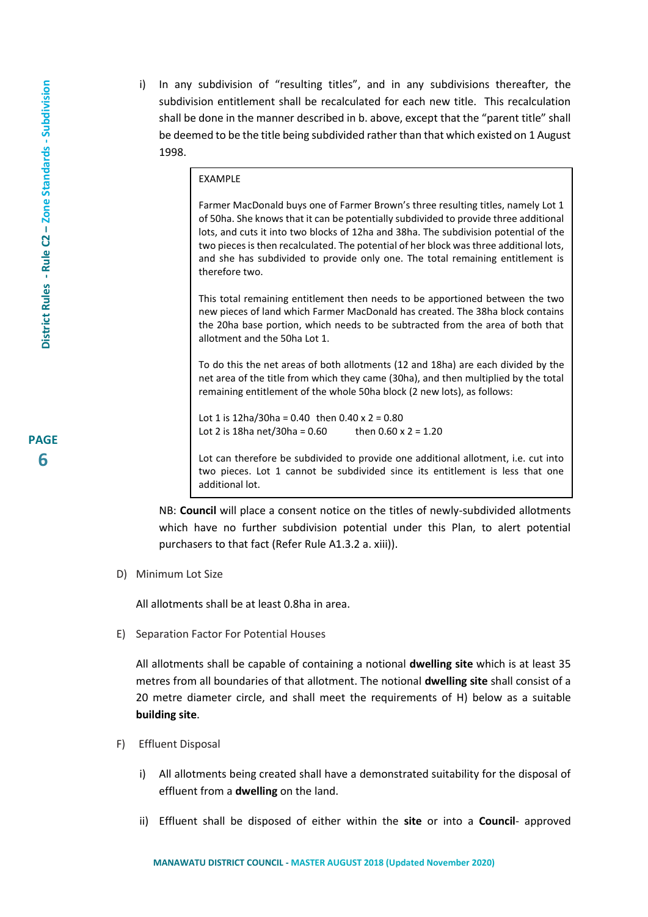i) In any subdivision of "resulting titles", and in any subdivisions thereafter, the subdivision entitlement shall be recalculated for each new title. This recalculation shall be done in the manner described in b. above, except that the "parent title" shall be deemed to be the title being subdivided rather than that which existed on 1 August 1998.

#### EXAMPLE

Farmer MacDonald buys one of Farmer Brown's three resulting titles, namely Lot 1 of 50ha. She knows that it can be potentially subdivided to provide three additional lots, and cuts it into two blocks of 12ha and 38ha. The subdivision potential of the two pieces is then recalculated. The potential of her block was three additional lots, and she has subdivided to provide only one. The total remaining entitlement is therefore two.

This total remaining entitlement then needs to be apportioned between the two new pieces of land which Farmer MacDonald has created. The 38ha block contains the 20ha base portion, which needs to be subtracted from the area of both that allotment and the 50ha Lot 1.

To do this the net areas of both allotments (12 and 18ha) are each divided by the net area of the title from which they came (30ha), and then multiplied by the total remaining entitlement of the whole 50ha block (2 new lots), as follows:

Lot 1 is  $12ha/30ha = 0.40$  then  $0.40 x 2 = 0.80$ Lot 2 is 18ha net/30ha =  $0.60$  then  $0.60 \times 2 = 1.20$ 

Lot can therefore be subdivided to provide one additional allotment, i.e. cut into two pieces. Lot 1 cannot be subdivided since its entitlement is less that one additional lot.

NB: **Council** will place a consent notice on the titles of newly-subdivided allotments which have no further subdivision potential under this Plan, to alert potential purchasers to that fact (Refer Rule A1.3.2 a. xiii)).

D) Minimum Lot Size

All allotments shall be at least 0.8ha in area.

E) Separation Factor For Potential Houses

All allotments shall be capable of containing a notional **dwelling site** which is at least 35 metres from all boundaries of that allotment. The notional **dwelling site** shall consist of a 20 metre diameter circle, and shall meet the requirements of H) below as a suitable **building site**.

- F) Effluent Disposal
	- i) All allotments being created shall have a demonstrated suitability for the disposal of effluent from a **dwelling** on the land.
	- ii) Effluent shall be disposed of either within the **site** or into a **Council** approved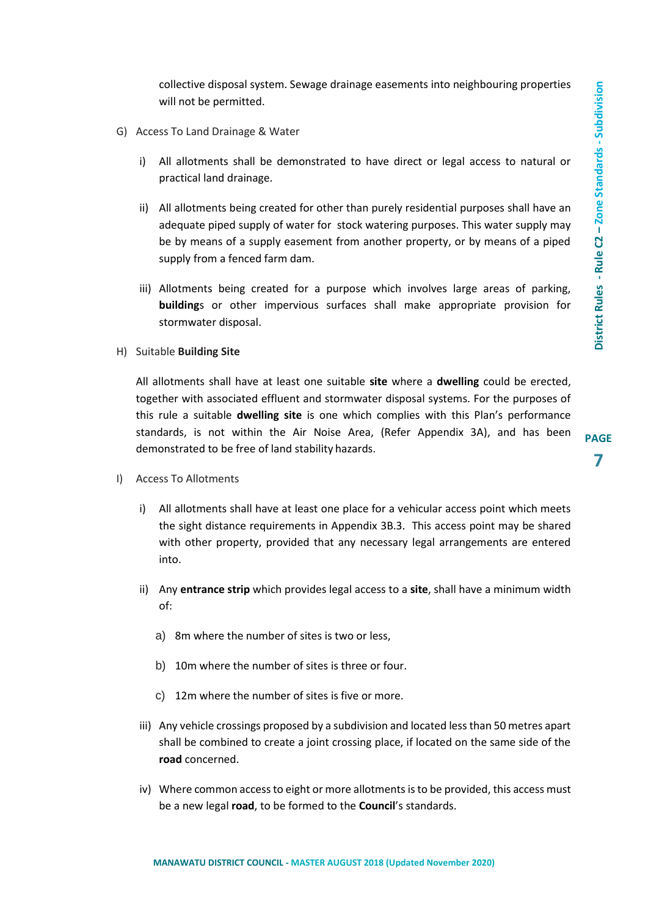**PAGE 7**

collective disposal system. Sewage drainage easements into neighbouring properties will not be permitted.

- G) Access To Land Drainage & Water
	- i) All allotments shall be demonstrated to have direct or legal access to natural or practical land drainage.
	- ii) All allotments being created for other than purely residential purposes shall have an adequate piped supply of water for stock watering purposes. This water supply may be by means of a supply easement from another property, or by means of a piped supply from a fenced farm dam.
	- iii) Allotments being created for a purpose which involves large areas of parking, **building**s or other impervious surfaces shall make appropriate provision for stormwater disposal.
- H) Suitable **Building Site**

All allotments shall have at least one suitable **site** where a **dwelling** could be erected, together with associated effluent and stormwater disposal systems. For the purposes of this rule a suitable **dwelling site** is one which complies with this Plan's performance standards, is not within the Air Noise Area, (Refer Appendix 3A), and has been demonstrated to be free of land stability hazards.

- I) Access To Allotments
	- i) All allotments shall have at least one place for a vehicular access point which meets the sight distance requirements in Appendix 3B.3. This access point may be shared with other property, provided that any necessary legal arrangements are entered into.
	- ii) Any **entrance strip** which provides legal access to a **site**, shall have a minimum width of:
		- a) 8m where the number of sites is two or less,
		- b) 10m where the number of sites is three or four.
		- c) 12m where the number of sites is five or more.
	- iii) Any vehicle crossings proposed by a subdivision and located less than 50 metres apart shall be combined to create a joint crossing place, if located on the same side of the **road** concerned.
	- iv) Where common access to eight or more allotments is to be provided, this access must be a new legal **road**, to be formed to the **Council**'s standards.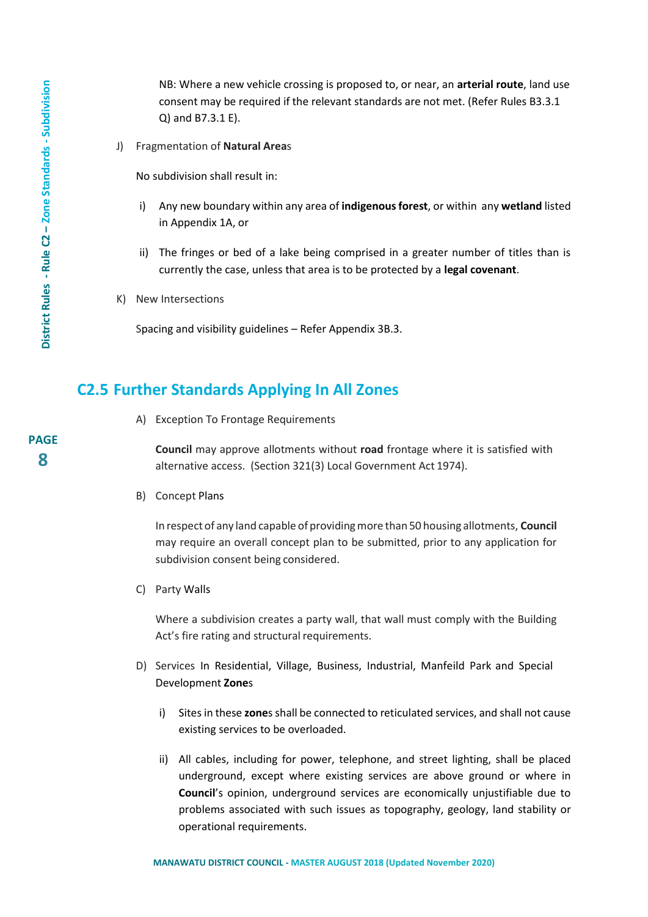NB: Where a new vehicle crossing is proposed to, or near, an **arterial route**, land use consent may be required if the relevant standards are not met. (Refer Rules B3.3.1 Q) and B7.3.1 E).

#### J) Fragmentation of **Natural Area**s

No subdivision shall result in:

- i) Any new boundary within any area of **indigenous forest**, or within any **wetland** listed in Appendix 1A, or
- ii) The fringes or bed of a lake being comprised in a greater number of titles than is currently the case, unless that area is to be protected by a **legal covenant**.
- K) New Intersections

Spacing and visibility guidelines – Refer Appendix 3B.3.

## <span id="page-9-0"></span>**C2.5 Further Standards Applying In All Zones**

A) Exception To Frontage Requirements

**Council** may approve allotments without **road** frontage where it is satisfied with alternative access. (Section 321(3) Local Government Act 1974).

B) Concept Plans

In respect of any land capable of providingmore than 50 housing allotments, **Council** may require an overall concept plan to be submitted, prior to any application for subdivision consent being considered.

C) Party Walls

Where a subdivision creates a party wall, that wall must comply with the Building Act's fire rating and structural requirements.

- D) Services In Residential, Village, Business, Industrial, Manfeild Park and Special Development **Zone**s
	- i) Sites in these **zone**s shall be connected to reticulated services, and shall not cause existing services to be overloaded.
	- ii) All cables, including for power, telephone, and street lighting, shall be placed underground, except where existing services are above ground or where in **Council**'s opinion, underground services are economically unjustifiable due to problems associated with such issues as topography, geology, land stability or operational requirements.

**PAGE**

8